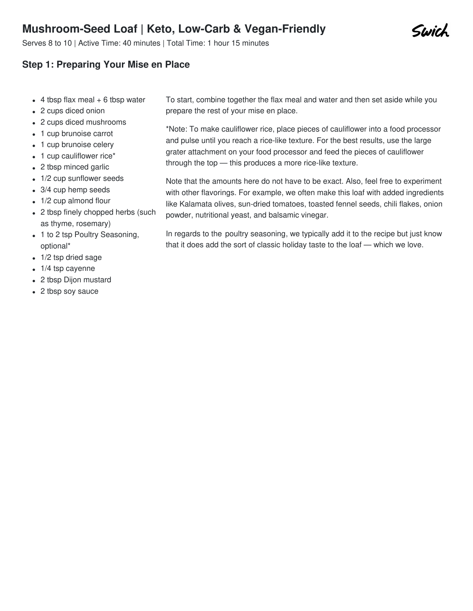# **Mushroom-Seed Loaf | Keto, Low-Carb & Vegan-Friendly**

Serves 8 to 10 | Active Time: 40 minutes | Total Time: 1 hour 15 minutes

### **Step 1: Preparing Your Mise en Place**

- $\bullet$  4 tbsp flax meal  $+$  6 tbsp water
- 2 cups diced onion
- 2 cups diced mushrooms
- 1 cup brunoise carrot
- 1 cup brunoise celery
- 1 cup cauliflower rice\*
- 2 tbsp minced garlic
- 1/2 cup sunflower seeds
- 3/4 cup hemp seeds
- 1/2 cup almond flour
- 2 tbsp finely chopped herbs (such as thyme, rosemary)
- 1 to 2 tsp Poultry Seasoning, optional\*
- 1/2 tsp dried sage
- 1/4 tsp cayenne
- 2 tbsp Dijon mustard
- 2 tbsp soy sauce

To start, combine together the flax meal and water and then set aside while you prepare the rest of your mise en place.

\*Note: To make cauliflower rice, place pieces of cauliflower into a food processor and pulse until you reach a rice-like texture. For the best results, use the large grater attachment on your food processor and feed the pieces of cauliflower through the top — this produces a more rice-like texture.

Note that the amounts here do not have to be exact. Also, feel free to experiment with other flavorings. For example, we often make this loaf with added ingredients like Kalamata olives, sun-dried tomatoes, toasted fennel seeds, chili flakes, onion powder, nutritional yeast, and balsamic vinegar.

In regards to the poultry [seasoning](file:///recipes/476), we typically add it to the recipe but just know that it does add the sort of classic holiday taste to the loaf — which we love.

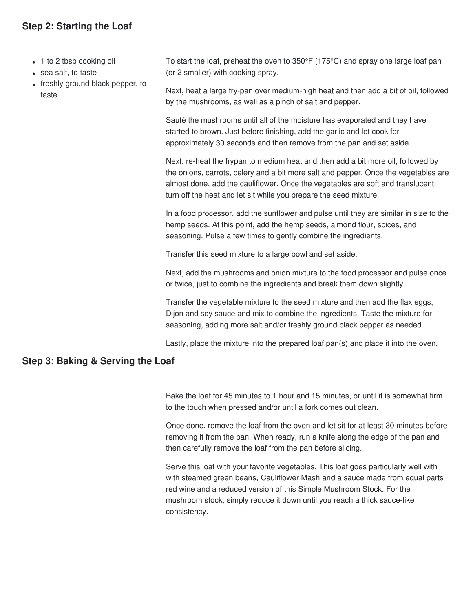### **Step 2: Starting the Loaf**

- 1 to 2 tbsp cooking oil
- sea salt, to taste
- freshly ground black pepper, to taste

To start the loaf, preheat the oven to 350°F (175°C) and spray one large loaf pan (or 2 smaller) with cooking spray.

Next, heat a large fry-pan over medium-high heat and then add a bit of oil, followed by the mushrooms, as well as a pinch of salt and pepper.

Sauté the mushrooms until all of the moisture has evaporated and they have started to brown. Just before finishing, add the garlic and let cook for approximately 30 seconds and then remove from the pan and set aside.

Next, re-heat the frypan to medium heat and then add a bit more oil, followed by the onions, carrots, celery and a bit more salt and pepper. Once the vegetables are almost done, add the cauliflower. Once the vegetables are soft and translucent, turn off the heat and let sit while you prepare the seed mixture.

In a food processor, add the sunflower and pulse until they are similar in size to the hemp seeds. At this point, add the hemp seeds, almond flour, spices, and seasoning. Pulse a few times to gently combine the ingredients.

Transfer this seed mixture to a large bowl and set aside.

Next, add the mushrooms and onion mixture to the food processor and pulse once or twice, just to combine the ingredients and break them down slightly.

Transfer the vegetable mixture to the seed mixture and then add the flax eggs, Dijon and soy sauce and mix to combine the ingredients. Taste the mixture for seasoning, adding more salt and/or freshly ground black pepper as needed.

Lastly, place the mixture into the prepared loaf pan(s) and place it into the oven.

#### **Step 3: Baking & Serving the Loaf**

Bake the loaf for 45 minutes to 1 hour and 15 minutes, or until it is somewhat firm to the touch when pressed and/or until a fork comes out clean.

Once done, remove the loaf from the oven and let sit for at least 30 minutes before removing it from the pan. When ready, run a knife along the edge of the pan and then carefully remove the loaf from the pan before slicing.

Serve this loaf with your favorite vegetables. This loaf goes particularly well with with steamed green beans, [Cauliflower](file:///recipes/59) Mash and a sauce made from equal parts red wine and a reduced version of this Simple [Mushroom](file:///recipes/7) Stock. For the mushroom stock, simply reduce it down until you reach a thick sauce-like consistency.